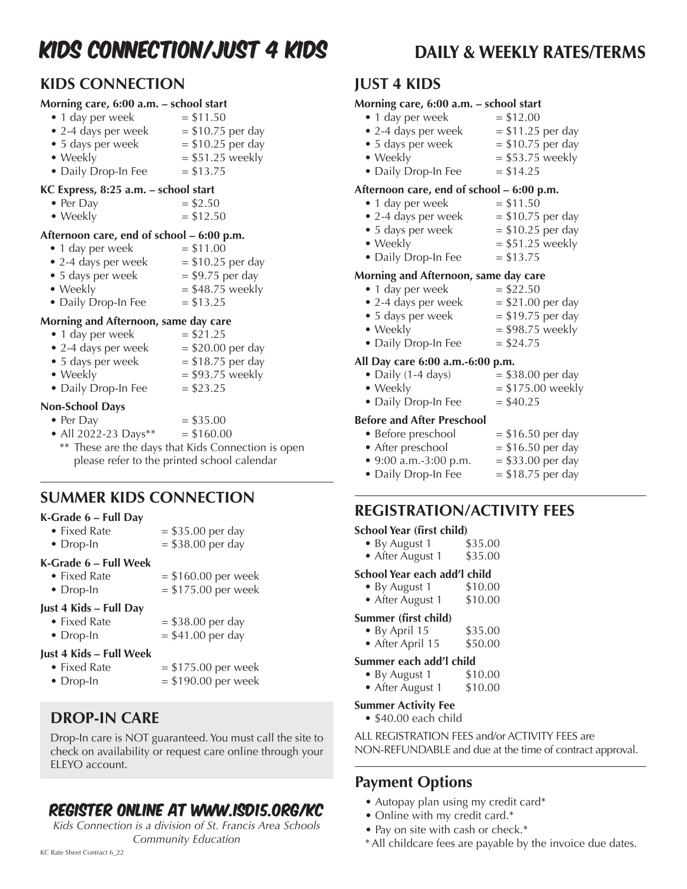# KIDS CONNECTION/JUST 4 KIDS DAILY & WEEKLY RATES/TERMS

### **KIDS CONNECTION**

#### **Morning care, 6:00 a.m. – school start**

- $\bullet$  1 day per week  $= $11.50$
- 2-4 days per week  $= $10.75$  per day
- 5 days per week  $= $10.25$  per day • Weekly  $= $51.25$  weekly
- Daily Drop-In Fee  $= $13.75$

### **KC Express, 8:25 a.m. – school start**

- Per Day  $= $2.50$
- Weekly  $= $12.50$

### **Afternoon care, end of school – 6:00 p.m.**

- 1 day per week  $= $11.00$
- 2-4 days per week  $= $10.25$  per day
- 5 days per week  $= $9.75$  per day
- Weekly  $= $48.75$  weekly
- Daily Drop-In Fee  $= $13.25$

### **Morning and Afternoon, same day care**

- 1 day per week  $= $21.25$
- 2-4 days per week  $= $20.00$  per day
- 5 days per week  $= $18.75$  per day
- Weekly  $= $93.75$  weekly
- 
- Daily Drop-In Fee  $= $23.25$

### **Non-School Days**

- Per Day  $= $35.00$
- All 2022-23 Days\*\*  $= $160.00$ 
	- \*\* These are the days that Kids Connection is open please refer to the printed school calendar

### **SUMMER KIDS CONNECTION**

### **K-Grade 6 – Full Day**

| Just 4 Kids - Full Day                    |                                              |
|-------------------------------------------|----------------------------------------------|
| $\bullet$ Fixed Rate<br>$\bullet$ Drop-In | $= $160.00$ per week<br>$= $175.00$ per week |
| K-Grade 6 – Full Week                     |                                              |
| $\bullet$ Drop-In                         | $= $38.00$ per day                           |
| • Fixed Rate                              | $= $35.00$ per day                           |

- Fixed Rate  $= $38.00$  per day
- Drop-In  $= $41.00$  per day
- **Just 4 Kids Full Week**
	-
	- Fixed Rate  $= $175.00$  per week
		-
	- Drop-In  $= $190.00$  per week

### **DROP-IN CARE**

Drop-In care is NOT guaranteed. You must call the site to check on availability or request care online through your ELEYO account.

## Register online at www.isd15.org/kc

*Kids Connection is a division of St. Francis Area Schools Community Education*

### **JUST 4 KIDS**

### **Morning care, 6:00 a.m. – school start**

- $\bullet$  1 day per week  $= $12.00$
- 2-4 days per week  $= $11.25$  per day • 5 days per week  $= $10.75$  per day • Weekly  $= $53.75$  weekly
- Daily Drop-In Fee  $= $14.25$

### **Afternoon care, end of school – 6:00 p.m.**

- $\bullet$  1 day per week  $= $11.50$
- 2-4 days per week  $= $10.75$  per day
- 5 days per week  $= $10.25$  per day
- 
- Weekly  $= $51.25$  weekly • Daily Drop-In Fee  $= $13.75$

### **Morning and Afternoon, same day care**

- $\bullet$  1 day per week  $= $22.50$ • 2-4 days per week  $= $21.00$  per day
- 5 days per week  $= $19.75$  per day • Weekly  $= $98.75$  weekly
- Daily Drop-In Fee  $= $24.75$

### **All Day care 6:00 a.m.-6:00 p.m.**

- Daily  $(1-4 \text{ days})$  = \$38.00 per day
- 
- Weekly  $= $175.00$  weekly • Daily Drop-In Fee  $= $40.25$

### **Before and After Preschool**

- Before preschool  $= $16.50$  per day • After preschool  $= $16.50$  per day
- 9:00 a.m.-3:00 p.m.  $= $33.00$  per day
- Daily Drop-In Fee  $= $18.75$  per day

### **REGISTRATION/ACTIVITY FEES**

### **School Year (first child)**

| • By August 1 | \$35.00 |
|---------------|---------|
|               |         |

• After August 1 \$35.00

### **School Year each add'l child**

- By August 1 \$10.00
- After August 1 \$10.00

#### **Summer (first child)**

- By April 15 \$35.00
- After April 15 \$50.00

### **Summer each add'l child**

- By August  $1$  \$10.00
- After August 1 \$10.00

### **Summer Activity Fee**

• \$40.00 each child

ALL REGISTRATION FEES and/or ACTIVITY FEES are NON-REFUNDABLE and due at the time of contract approval.

### **Payment Options**

- Autopay plan using my credit card\*
- Online with my credit card.\*
- Pay on site with cash or check.\*
- \*All childcare fees are payable by the invoice due dates.